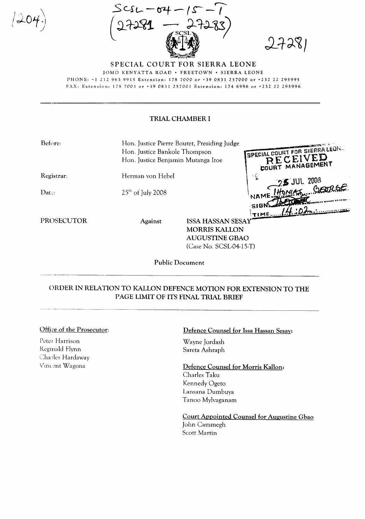$j \cap \ldots$  $|204\rangle$  $\langle 404 \cdot$ 





SPECIAL COURT FOR SIERRA LEONE JOMO KENYATTA ROAD · FREETOWN · SIERRA LEONE PHONE: +12129639915 Extension: 1787000 or +39 0831257000 or +23222295995 FAX: Extension: 1787001 or +390831257001 Extension: 1746996 or +23222295996

## TRIAL CHAMBER I

| Before:           | Hon. Justice Pierre Boutet, Presiding Judge<br>Hon. Justice Bankole Thompson |                          |                                |
|-------------------|------------------------------------------------------------------------------|--------------------------|--------------------------------|
|                   |                                                                              |                          | SPECIAL COURT FOR SIERRA LEON. |
|                   | Hon. Justice Benjamin Mutanga Itoe                                           |                          | RECEIVED                       |
| Registrar:        | Herman von Hebel                                                             |                          | 작<br><b>5 JUL 2008</b>         |
| Data:             | $25th$ of July 2008                                                          |                          | NAME HOMIAS CORGE              |
|                   |                                                                              |                          | $\cdot$ SIGN:                  |
| <b>PROSECUTOR</b> | Against                                                                      | <b>ISSA HASSAN SESAY</b> | <b>TIME.</b>                   |
|                   |                                                                              | MORRIS KALLON            |                                |
|                   |                                                                              | <b>AUGUSTINE GBAO</b>    |                                |
|                   | (Case No. SCSL-04-15-T)                                                      |                          |                                |

Public Document

## ORDER IN RELA110N TO KALLON DEFENCE MOTION FOR EXTENSION TO THE PAGE LIMIT OF ITS FINAL TRIAL BRIEF

## Office of the Prosecutor:

Peter Harrison Reginald Flynn Cha rles Hardaway Vincent Wagona

## Defence Counsel for Issa Hassan Sesay:

Wayne Jordash Sareta Ashraph

Defence Counsel for Morris Kallon: Charles Taku Kennedy Ogeto Lansana Dumbuya Tanoo Mylvaganam

Court Appointed Counsel for Augustine Gbao John Cammegh Scott Martin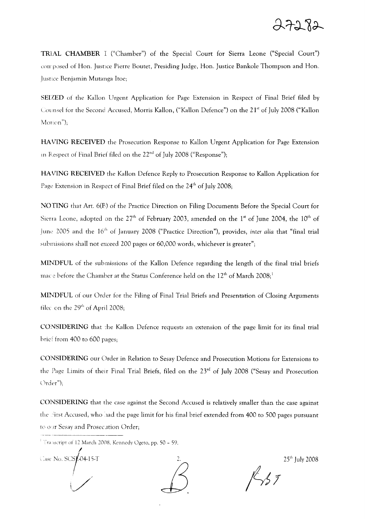

TRIAL CHAMBER 1 ("Chamber") of the Special Court for Sierra Leone ("Special Court") corr posed of Hon. Justice Pierre Boutet, Presiding Judge, Hon. Justice Bankole Thompson and Hon. Justice Benjamin Mutanga Itoe;

SEIZED of the Kallon Urgent Application for Page Extension in Respect of Final Brief filed by Counsel for the Second Accused, Morris Kallon, ("Kallon Defence") on the 21<sup>st</sup> of July 2008 ("Kallon Motion");

HAV1[NG RECEIVED the Prosecution Response to Kallon Urgent Application for Page Extension in Respect of Final Brief filed on the 22<sup>nd</sup> of July 2008 ("Response");

HAV1lNG RECEIVED the Kallon Defence Reply to Prosecution Response to Kallon Application for Page Extension in Respect of Final Brief filed on the 24<sup>th</sup> of July 2008;

NOTJlNG that Art. 6(B) of the Practice Direction on Filing Documents Before the Special Court for Sierra Leone, adopted on the 27<sup>th</sup> of February 2003, amended on the 1st of June 2004, the 10<sup>th</sup> of June 2005 and the 16<sup>th</sup> of January 2008 ("Practice Direction"), provides, *inter alia* that "final trial submissions shall not exceed 200 pages or 60,000 words, whichever is greater";

MINDFUL of the submissions of the Kallon Defence regarding the length of the final trial briefs mace before the Chamber at the Status Conference held on the  $12<sup>th</sup>$  of March 2008;<sup>1</sup>

MINDFUL of our Order for the Filing of Final Trial Briefs and Presentation of Closing Arguments tilee on the 29<sup>th</sup> of April 2008;

CONSIDERING that the Kallon Defence requests an extension of the page limit for its final trial brief from 400 to 600 pages;

CONSIDERING our Order in Relation to Sesay Defence and Prosecution Motions for Extensions to the Page Limits of their Final Trial Briefs, filed on the 23<sup>rd</sup> of July 2008 ("Sesay and Prosecution Urder");

CONSIDERING that the case against the Second Accused is relatively smaller than the case against the First Accused, who had the page limit for his final brief extended from 400 to 500 pages pursuant to our Sesay and Prosecution Order;

/ :)<br>ase No. SCS**[**-04-15-T ,



25th July 2008

 $\frac{1}{5}$ 

<sup>&</sup>lt;sup>1</sup> Transcript of 12 March 2008, Kennedy Ogeto, pp.  $50 - 59$ .